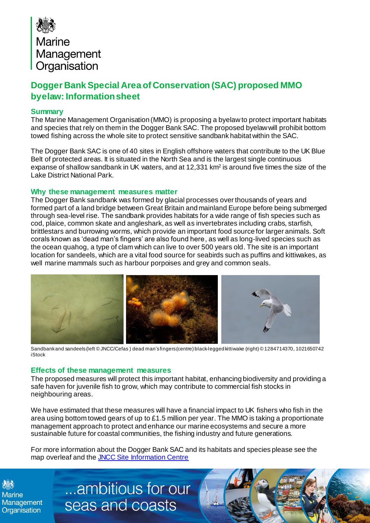

## **Dogger Bank Special Area of Conservation (SAC) proposed MMO byelaw: Informationsheet**

## **Summary**

The Marine Management Organisation (MMO) is proposing a byelaw to protect important habitats and species that rely on them in the Dogger Bank SAC. The proposed byelaw will prohibit bottom towed fishing across the whole site to protect sensitive sandbank habitat within the SAC.

The Dogger Bank SAC is one of 40 sites in English offshore waters that contribute to the UK Blue Belt of protected areas. It is situated in the North Sea and is the largest single continuous expanse of shallow sandbank in UK waters, and at 12,331 km<sup>2</sup> is around five times the size of the Lake District National Park.

## **Why these management measures matter**

The Dogger Bank sandbank was formed by glacial processes over thousands of years and formed part of a land bridge between Great Britain and mainland Europe before being submerged through sea-level rise. The sandbank provides habitats for a wide range of fish species such as cod, plaice, common skate and angleshark, as well as invertebrates including crabs, starfish, brittlestars and burrowing worms, which provide an important food source for larger animals. Soft corals known as 'dead man's fingers' are also found here, as well as long-lived species such as the ocean quahog, a type of clam which can live to over 500 years old. The site is an important location for sandeels, which are a vital food source for seabirds such as puffins and kittiwakes, as well marine mammals such as harbour porpoises and grey and common seals.



 Sandbankand sandeels (left © JNCC/Cefas ) dead man's fingers(centre) black-legged kittiwake (right) © 1284714370, 1021650742 iStock

## **Effects of these management measures**

The proposed measures will protect this important habitat, enhancing biodiversity and providing a safe haven for juvenile fish to grow, which may contribute to commercial fish stocks in neighbouring areas.

We have estimated that these measures will have a financial impact to UK fishers who fish in the area using bottom towed gears of up to £1.5 million per year. The MMO is taking a proportionate management approach to protect and enhance our marine ecosystems and secure a more sustainable future for coastal communities, the fishing industry and future generations.

For more information about the Dogger Bank SAC and its habitats and species please see the map overleaf and the JNCC Site Information Centre

**Marine** Management Organisation